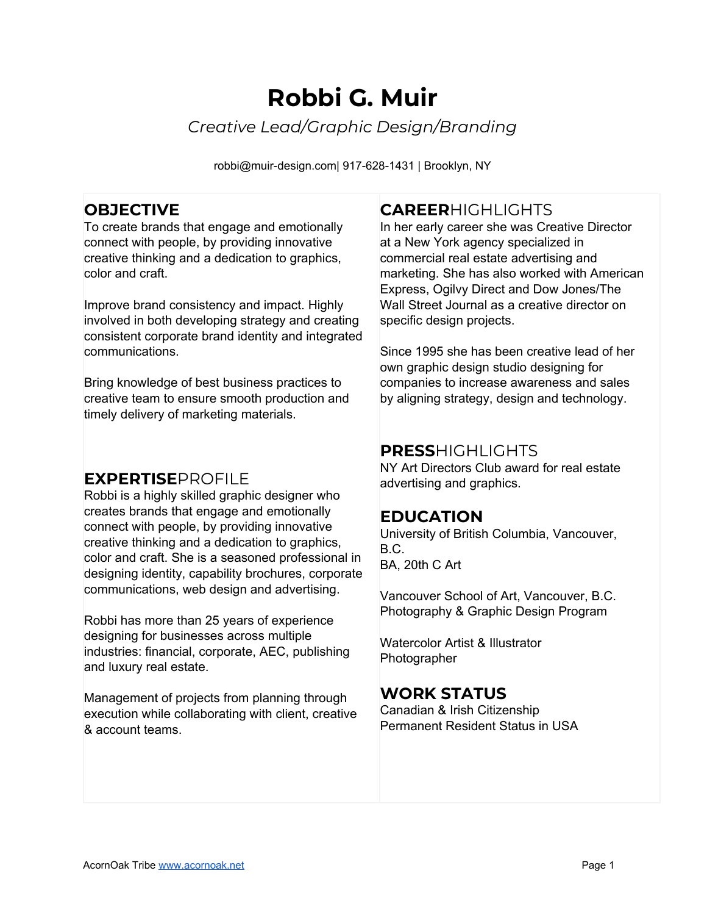# **Robbi G. Muir** *Creative Lead/Graphic Design/Branding*

robbi@muir-design.com| 917-628-1431 | Brooklyn, NY

## **OBJECTIVE**

To create brands that engage and emotionally connect with people, by providing innovative creative thinking and a dedication to graphics, color and craft.

Improve brand consistency and impact. Highly involved in both developing strategy and creating consistent corporate brand identity and integrated communications.

Bring knowledge of best business practices to creative team to ensure smooth production and timely delivery of marketing materials.

## **EXPERTISE**PROFILE

Robbi is a highly skilled graphic designer who creates brands that engage and emotionally connect with people, by providing innovative creative thinking and a dedication to graphics, color and craft. She is a seasoned professional in designing identity, capability brochures, corporate communications, web design and advertising.

Robbi has more than 25 years of experience designing for businesses across multiple industries: financial, corporate, AEC, publishing and luxury real estate.

Management of projects from planning through execution while collaborating with client, creative & account teams.

## **CAREER**HIGHLIGHTS

In her early career she was Creative Director at a New York agency specialized in commercial real estate advertising and marketing. She has also worked with American Express, Ogilvy Direct and Dow Jones/The Wall Street Journal as a creative director on specific design projects.

Since 1995 she has been creative lead of her own graphic design studio designing for companies to increase awareness and sales by aligning strategy, design and technology.

## **PRESS**HIGHLIGHTS

NY Art Directors Club award for real estate advertising and graphics.

## **EDUCATION**

University of British Columbia, Vancouver, B.C. BA, 20th C Art

Vancouver School of Art, Vancouver, B.C. Photography & Graphic Design Program

Watercolor Artist & Illustrator **Photographer** 

## **WORK STATUS**

Canadian & Irish Citizenship Permanent Resident Status in USA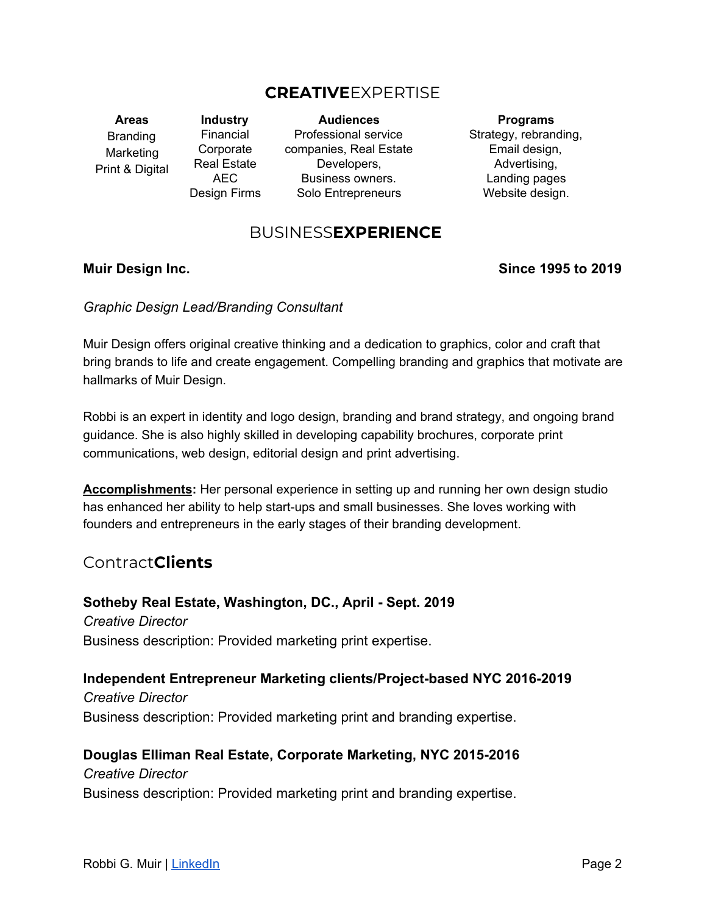## **CREATIVE**EXPERTISE

**Areas** Branding Marketing Print & Digital

**Industry** Financial Corporate Real Estate AEC Design Firms

**Audiences** Professional service companies, Real Estate Developers, Business owners. Solo Entrepreneurs

**Programs** Strategy, rebranding, Email design, Advertising, Landing pages Website design.

## BUSINESS**EXPERIENCE**

#### **Muir Design Inc. Since 1995 to 2019**

*Graphic Design Lead/Branding Consultant*

Muir Design offers original creative thinking and a dedication to graphics, color and craft that bring brands to life and create engagement. Compelling branding and graphics that motivate are hallmarks of Muir Design.

Robbi is an expert in identity and logo design, branding and brand strategy, and ongoing brand guidance. She is also highly skilled in developing capability brochures, corporate print communications, web design, editorial design and print advertising.

**Accomplishments:** Her personal experience in setting up and running her own design studio has enhanced her ability to help start-ups and small businesses. She loves working with founders and entrepreneurs in the early stages of their branding development.

## Contract**Clients**

**Sotheby Real Estate, Washington, DC., April - Sept. 2019** *Creative Director* Business description: Provided marketing print expertise.

**Independent Entrepreneur Marketing clients/Project-based NYC 2016-2019** *Creative Director* Business description: Provided marketing print and branding expertise.

**Douglas Elliman Real Estate, Corporate Marketing, NYC 2015-2016** *Creative Director* Business description: Provided marketing print and branding expertise.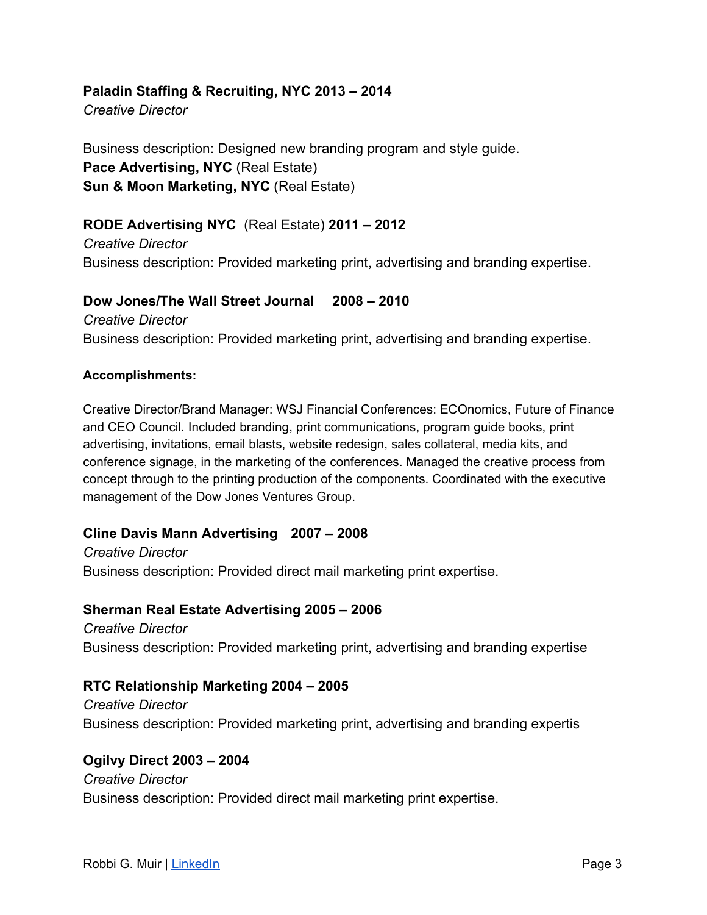#### **Paladin Staffing & Recruiting, NYC 2013 – 2014**

*Creative Director*

Business description: Designed new branding program and style guide. **Pace Advertising, NYC** (Real Estate) **Sun & Moon Marketing, NYC** (Real Estate)

### **RODE Advertising NYC** (Real Estate) **2011 – 2012**

*Creative Director* Business description: Provided marketing print, advertising and branding expertise.

## **Dow Jones/The Wall Street Journal 2008 – 2010** *Creative Director* Business description: Provided marketing print, advertising and branding expertise.

#### **Accomplishments:**

Creative Director/Brand Manager: WSJ Financial Conferences: ECOnomics, Future of Finance and CEO Council. Included branding, print communications, program guide books, print advertising, invitations, email blasts, website redesign, sales collateral, media kits, and conference signage, in the marketing of the conferences. Managed the creative process from concept through to the printing production of the components. Coordinated with the executive management of the Dow Jones Ventures Group.

#### **Cline Davis Mann Advertising 2007 – 2008**

*Creative Director* Business description: Provided direct mail marketing print expertise.

#### **Sherman Real Estate Advertising 2005 – 2006**

*Creative Director* Business description: Provided marketing print, advertising and branding expertise

#### **RTC Relationship Marketing 2004 – 2005**

*Creative Director* Business description: Provided marketing print, advertising and branding expertis

#### **Ogilvy Direct 2003 – 2004**

*Creative Director* Business description: Provided direct mail marketing print expertise.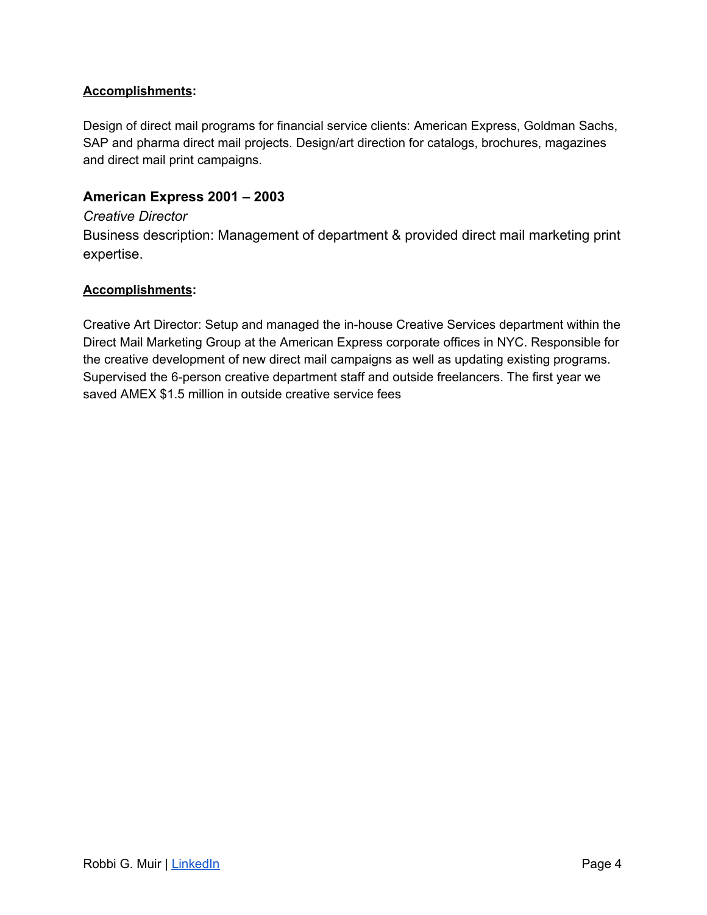#### **Accomplishments:**

Design of direct mail programs for financial service clients: American Express, Goldman Sachs, SAP and pharma direct mail projects. Design/art direction for catalogs, brochures, magazines and direct mail print campaigns.

#### **American Express 2001 – 2003**

#### *Creative Director*

Business description: Management of department & provided direct mail marketing print expertise.

#### **Accomplishments:**

Creative Art Director: Setup and managed the in-house Creative Services department within the Direct Mail Marketing Group at the American Express corporate offices in NYC. Responsible for the creative development of new direct mail campaigns as well as updating existing programs. Supervised the 6-person creative department staff and outside freelancers. The first year we saved AMEX \$1.5 million in outside creative service fees